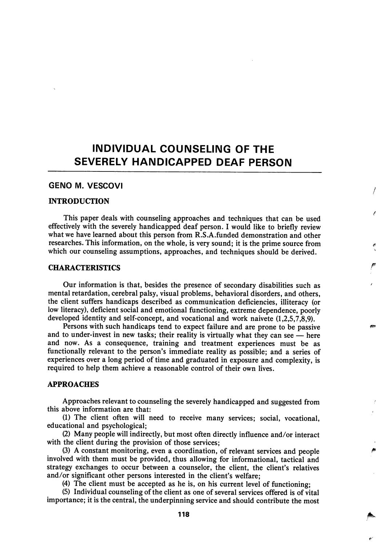# INDIVIDUAL COUNSELING OF THE SEVERELY HANDICAPPED DEAF PERSON

# GENO M. VESCOVI

#### INTRODUCTION

This paper deals with counseling approaches and techniques that can be used effectively with the severely handicapped deaf person. I would like to briefly review what we have learned about this person from R.S.A.funded demonstration and other researches. This information, on the whole, is very sound; it is the prime source from which our counseling assumptions, approaches, and techniques should be derived.

# CHARACTERISTICS

Our information is that, besides the presence of secondary disabilities such as mental retardation, cerebral palsy, visual problems, behavioral disorders, and others, the client suffers handicaps described as communication deficiencies, illiteracy (or low literacy), deficient social and emotional functioning, extreme dependence, poorly developed identity and self-concept, and vocational and work naivete (1,2,5,7,8,9).

Persons with such handicaps tend to expect failure and are prone to be passive and to under-invest in new tasks; their reality is virtually what they can see — here and now. As a consequence, training and treatment experiences must be as functionally relevant to the person's immediate reality as possible; and a series of experiences over a long period of time and graduated in exposure and complexity, is required to help them achieve a reasonable control of their own lives.

## APPROACHES

Approaches relevant to counseling the severely handicapped and suggested from this above information are that:

(1) The client often will need to receive many services; social, vocational, educational and psychological;

(2) Many people will indirectly, but most often directly influence and/or interact with the client during the provision of those services;

(3) A constant monitoring, even a coordination, of relevant services and people involved with them must be provided, thus allowing for informational, tactical and strategy exchanges to occur between a counselor, the client, the client's relatives and/or significant other persons interested in the client's welfare;

(4) The client must be accepted as he is, on his current level of functioning;

(5) Individual counseling of the client as one of several services offered is of vital importance; it is the central, the underpinning service and should contribute the most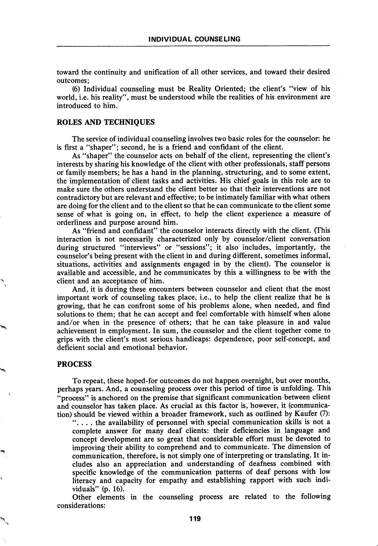toward the continuity and unification of all other services, and toward their desired outcomes;

(6) Individual counseling must be Reality Oriented; the client's "view of his world, i.e. his reality", must be understood while the realities of his environment are introduced to him.

#### ROLES AND TECHNIQUES

The service of individual counseling involves two basic roles for the counselor: he is first a "shaper"; second, he is a friend and confidant of the client.

As "shaper" the counselor acts on behalf of the client, representing the client's interests by sharing his knowledge of the client with other professionals, staff persons or family members; he has a hand in the planning, structuring, and to some extent, the implementation of client tasks and activities. His chief goals in this role are to make sure the others understand the client better so that their interventions are not contradictory but are relevant and effective; to be intimately familiar with what others are doing for the client and to the client so that he can communicate to the client some sense of what is going on, in effect, to help the client experience a measure of orderliness and purpose around him.

As "friend and confidant" the counselor interacts directly with the client. (This interaction is not necessarily characterized only by counselor/client conversation during structured "interviews" or "sessions"; it also includes, importantly, the counselor's being present with the client in and during different, sometimes informal, situations, activities and assignments engaged in by the client). The counselor is available and accessible, and he communicates by this a willingness to be with the client and an acceptance of him.

And, it is during these encounters between counselor and client that the most important work of counseling takes place, i.e., to help the client realize that he is growing, that he can confront some of his problems alone, when needed, and find solutions to them; that he can accept and feel comfortable with himself when alone and/or when in the presence of others; that he can take pleasure in and value achievement in employment. In sum, the counselor and the client together come to grips with the client's most serious handicaps: dependence, poor self-concept, and deficient social and emotional behavior.

#### PROCESS

To repeat, these hoped-for outcomes do not happen overnight, but over months, perhaps years. And, a counseling process over this period of time is unfolding. This "process" is anchored on the premise that significant communication between client and counselor has taken place. As crucial as this factor is, however, it (communica tion) should be viewed within a broader framework, such as outlined by Kaufer (7):

". . . . the availability of personnel with special communication skills is not a complete answer for many deaf clients: their deficiencies in language and concept development are so great that considerable effort must be devoted to improving their ability to comprehend and to communicate. The dimension of communication, therefore, is not simply one of interpreting or translating. It in cludes also an appreciation and understanding of deafness combined with specific knowledge of the communication patterns of deaf persons with low literacy and capacity for empathy and establishing rapport with such indi viduals" (p. 16).

Other elements in the counseling process are related to the following considerations: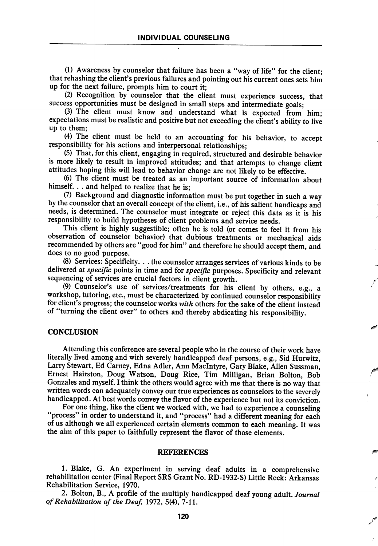(1) Awareness by counselor that failure has been a "way of life" for the client; that rehashing the client's previous failures and pointing out his current ones sets him up for the next failure, prompts him to court it;

(2) Recognition by counselor that the client must experience success, that success opportunities must be designed in small steps and intermediate goals;

(3) The client must know and understand what is expected from him; expectations must be realistic and positive but not exceeding the client's ability to live up to them;

(4) The client must be held to an accounting for his behavior, to accept responsibility for his actions and interpersonal relationships;

(5) That, for this client, engaging in required, structured and desirable behavior is more likely to result in improved attitudes; and that attempts to change client attitudes hoping this will lead to behavior change are not likely to be effective.

(6) The client must be treated as an important source of information about himself. . . and helped to realize that he is;

(7) Background and diagnostic information must be put together in such a way by the counselor that an overall concept of the client, i.e., of his salient handicaps and needs, is determined. The counselor must integrate or reject this data as it is his responsibility to build hypotheses of client problems and service needs.

This client is highly suggestible; often he is told (or comes to feel it from his observation of counselor behavior) that dubious treatments or mechanical aids recommended by others are "good for him" and therefore he should accept them, and does to no good purpose.

(8) Services: Specificity. . . the counselor arranges services of various kinds to be delivered at specific points in time and for specific purposes. Specificity and relevant sequencing of services are crucial factors in client growth.

(9) Counselor's use of services/treatments for his client by others, e.g., a workshop, tutoring, etc., must be characterized by continued counselor responsibility for client's progress; the counselor works with others for the sake of the client instead of "turning the client over" to others and thereby abdicating his responsibility.

## **CONCLUSION**

Attending this conference are several people who in the course of their work have literally lived among and with severely handicapped deaf persons, e.g., Sid Hurwitz, Larry Stewart, Ed Carney, Edna Adler, Ann Maclntyre, Gary Blake, Allen Sussman, Ernest Hairston, Doug Watson, Doug Rice, Tim Milligan, Brian Bolton, Bob Gonzales and myself. I think the others would agree with me that there is no way that written words can adequately convey our true experiences as counselors to the severely handicapped. At best words convey the flavor of the experience but not its conviction.

For one thing, like the client we worked with, we had to experience a counseling "process" in order to understand it, and "process" had a different meaning for each of us although we all experienced certain elements common to each meaning. It was the aim of this paper to faithfully represent the flavor of those elements.

#### REFERENCES

1. Blake, G. An experiment in serving deaf adults in a comprehensive rehabilitation center (Final Report SRS Grant No. RD-1932-S) Little Rock: Arkansas Rehabilitation Service, 1970.

2. Bolton, B., A profile of the multiply handicapped deaf young adult. Journal of Rehabilitation of the Deaf, 1972, 5(4), 7-11.